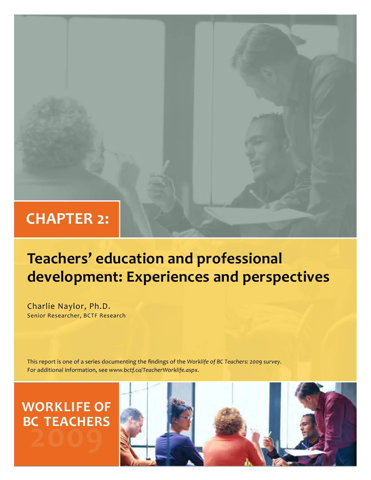### **CHAPTER 2:**

# **Teachers' education and professional development: Experiences and perspectives**

Charlie Naylor, Ph.D. Senior Researcher, BCTF Research

This report is one of a series documenting the findings of the *Worklife of BC Teachers: 2009 survey*. For additional information, see *www.bctf.ca/TeacherWorklife.aspx*.



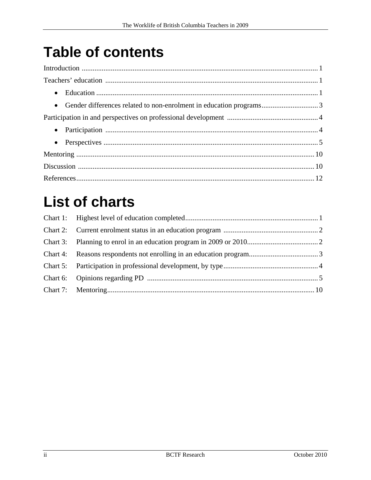## **Table of contents**

# **List of charts**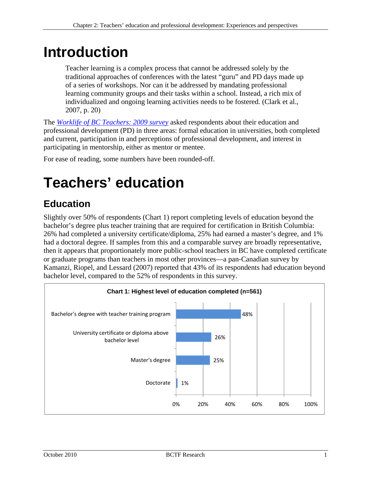## **Introduction**

Teacher learning is a complex process that cannot be addressed solely by the traditional approaches of conferences with the latest "guru" and PD days made up of a series of workshops. Nor can it be addressed by mandating professional learning community groups and their tasks within a school. Instead, a rich mix of individualized and ongoing learning activities needs to be fostered. (Clark et al., 2007, p. 20)

The *[Worklife of BC Teachers: 2009 survey](http://www.bctf.ca/uploadedFiles/Public/Issues/WorklifeWorkload/2009/survey.pdf)* asked respondents about their education and professional development (PD) in three areas: formal education in universities, both completed and current, participation in and perceptions of professional development, and interest in participating in mentorship, either as mentor or mentee.

For ease of reading, some numbers have been rounded-off.

## **Teachers' education**

### **Education**

Slightly over 50% of respondents (Chart 1) report completing levels of education beyond the bachelor's degree plus teacher training that are required for certification in British Columbia: 26% had completed a university certificate/diploma, 25% had earned a master's degree, and 1% had a doctoral degree. If samples from this and a comparable survey are broadly representative, then it appears that proportionately more public-school teachers in BC have completed certificate or graduate programs than teachers in most other provinces—a pan-Canadian survey by Kamanzi, Riopel, and Lessard (2007) reported that 43% of its respondents had education beyond bachelor level, compared to the 52% of respondents in this survey.

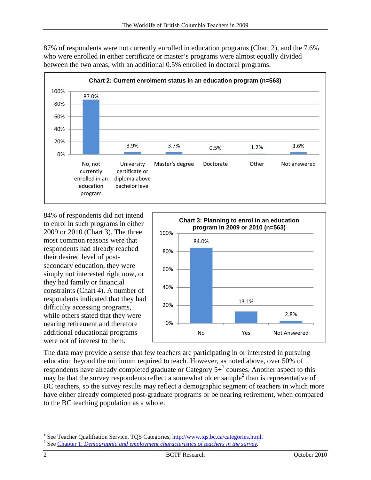87% of respondents were not currently enrolled in education programs (Chart 2), and the 7.6% who were enrolled in either certificate or master's programs were almost equally divided between the two areas, with an additional 0.5% enrolled in doctoral programs.



84% of respondents did not intend to enrol in such programs in either 2009 or 2010 (Chart 3). The three most common reasons were that respondents had already reached their desired level of postsecondary education, they were simply not interested right now, or they had family or financial constraints (Chart 4). A number of respondents indicated that they had difficulty accessing programs, while others stated that they were nearing retirement and therefore additional educational programs were not of interest to them.



The data may provide a sense that few teachers are participating in or interested in pursuing education beyond the minimum required to teach. However, as noted above, over 50% of respondents have already completed graduate or Category  $5+^1$  courses. Another aspect to this may be that the survey respondents reflect a somewhat older sample<sup>2</sup> than is representative of BC teachers, so the survey results may reflect a demographic segment of teachers in which more have either already completed post-graduate programs or be nearing retirement, when compared to the BC teaching population as a whole.

 $\overline{a}$ 

<sup>&</sup>lt;sup>1</sup> See Teacher Qualifiation Service, TQS Categories,  $\frac{http://www.tqs.bc.ca/categories.html}{2}$ <br>
<sup>2</sup> See Chapter 1. Demographic and amployment characteristics of teachers in the summary

<sup>&</sup>lt;sup>2</sup> See Chapter 1, *[Demographic and employment characteristics of teachers in the survey](http://www.bctf.ca/uploadedFiles/Public/Issues/WorklifeWorkload/2009/Chapter1.pdf)*.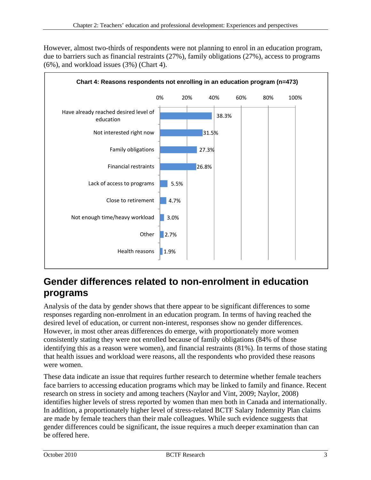However, almost two-thirds of respondents were not planning to enrol in an education program, due to barriers such as financial restraints (27%), family obligations (27%), access to programs (6%), and workload issues (3%) (Chart 4).



### **Gender differences related to non-enrolment in education programs**

Analysis of the data by gender shows that there appear to be significant differences to some responses regarding non-enrolment in an education program. In terms of having reached the desired level of education, or current non-interest, responses show no gender differences. However, in most other areas differences do emerge, with proportionately more women consistently stating they were not enrolled because of family obligations (84% of those identifying this as a reason were women), and financial restraints (81%). In terms of those stating that health issues and workload were reasons, all the respondents who provided these reasons were women.

These data indicate an issue that requires further research to determine whether female teachers face barriers to accessing education programs which may be linked to family and finance. Recent research on stress in society and among teachers (Naylor and Vint, 2009; Naylor, 2008) identifies higher levels of stress reported by women than men both in Canada and internationally. In addition, a proportionately higher level of stress-related BCTF Salary Indemnity Plan claims are made by female teachers than their male colleagues. While such evidence suggests that gender differences could be significant, the issue requires a much deeper examination than can be offered here.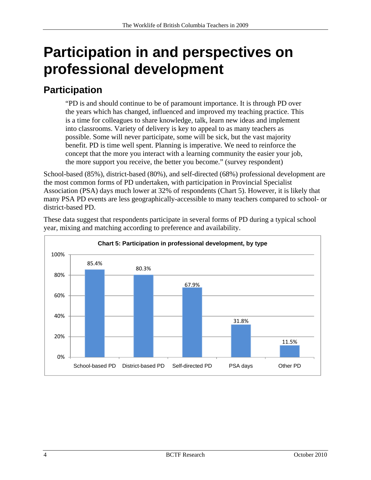## **Participation in and perspectives on professional development**

### **Participation**

"PD is and should continue to be of paramount importance. It is through PD over the years which has changed, influenced and improved my teaching practice. This is a time for colleagues to share knowledge, talk, learn new ideas and implement into classrooms. Variety of delivery is key to appeal to as many teachers as possible. Some will never participate, some will be sick, but the vast majority benefit. PD is time well spent. Planning is imperative. We need to reinforce the concept that the more you interact with a learning community the easier your job, the more support you receive, the better you become." (survey respondent)

School-based (85%), district-based (80%), and self-directed (68%) professional development are the most common forms of PD undertaken, with participation in Provincial Specialist Association (PSA) days much lower at 32% of respondents (Chart 5). However, it is likely that many PSA PD events are less geographically-accessible to many teachers compared to school- or district-based PD.



These data suggest that respondents participate in several forms of PD during a typical school year, mixing and matching according to preference and availability.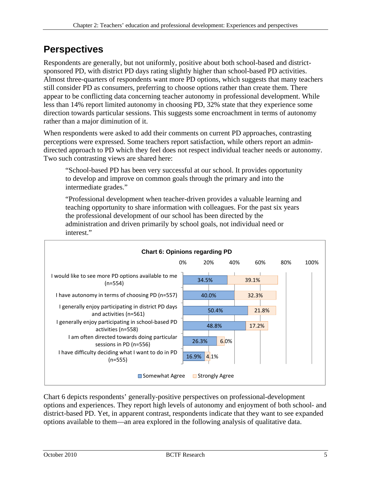### **Perspectives**

Respondents are generally, but not uniformly, positive about both school-based and districtsponsored PD, with district PD days rating slightly higher than school-based PD activities. Almost three-quarters of respondents want more PD options, which suggests that many teachers still consider PD as consumers, preferring to choose options rather than create them. There appear to be conflicting data concerning teacher autonomy in professional development. While less than 14% report limited autonomy in choosing PD, 32% state that they experience some direction towards particular sessions. This suggests some encroachment in terms of autonomy rather than a major diminution of it.

When respondents were asked to add their comments on current PD approaches, contrasting perceptions were expressed. Some teachers report satisfaction, while others report an admindirected approach to PD which they feel does not respect individual teacher needs or autonomy. Two such contrasting views are shared here:

"School-based PD has been very successful at our school. It provides opportunity to develop and improve on common goals through the primary and into the intermediate grades."

"Professional development when teacher-driven provides a valuable learning and teaching opportunity to share information with colleagues. For the past six years the professional development of our school has been directed by the administration and driven primarily by school goals, not individual need or interest."



Chart 6 depicts respondents' generally-positive perspectives on professional-development options and experiences. They report high levels of autonomy and enjoyment of both school- and district-based PD. Yet, in apparent contrast, respondents indicate that they want to see expanded options available to them—an area explored in the following analysis of qualitative data.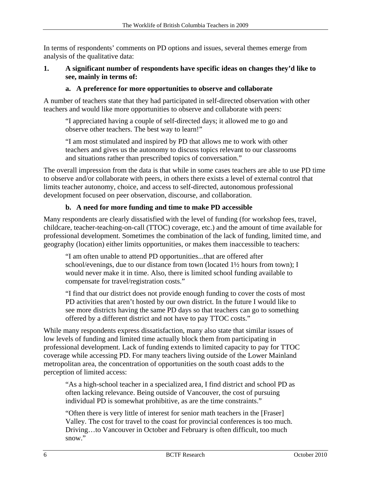In terms of respondents' comments on PD options and issues, several themes emerge from analysis of the qualitative data:

#### **1. A significant number of respondents have specific ideas on changes they'd like to see, mainly in terms of:**

#### **a. A preference for more opportunities to observe and collaborate**

A number of teachers state that they had participated in self-directed observation with other teachers and would like more opportunities to observe and collaborate with peers:

"I appreciated having a couple of self-directed days; it allowed me to go and observe other teachers. The best way to learn!"

"I am most stimulated and inspired by PD that allows me to work with other teachers and gives us the autonomy to discuss topics relevant to our classrooms and situations rather than prescribed topics of conversation."

The overall impression from the data is that while in some cases teachers are able to use PD time to observe and/or collaborate with peers, in others there exists a level of external control that limits teacher autonomy, choice, and access to self-directed, autonomous professional development focused on peer observation, discourse, and collaboration.

#### **b. A need for more funding and time to make PD accessible**

Many respondents are clearly dissatisfied with the level of funding (for workshop fees, travel, childcare, teacher-teaching-on-call (TTOC) coverage, etc.) and the amount of time available for professional development. Sometimes the combination of the lack of funding, limited time, and geography (location) either limits opportunities, or makes them inaccessible to teachers:

"I am often unable to attend PD opportunities...that are offered after school/evenings, due to our distance from town (located 1½ hours from town); I would never make it in time. Also, there is limited school funding available to compensate for travel/registration costs."

"I find that our district does not provide enough funding to cover the costs of most PD activities that aren't hosted by our own district. In the future I would like to see more districts having the same PD days so that teachers can go to something offered by a different district and not have to pay TTOC costs."

While many respondents express dissatisfaction, many also state that similar issues of low levels of funding and limited time actually block them from participating in professional development. Lack of funding extends to limited capacity to pay for TTOC coverage while accessing PD. For many teachers living outside of the Lower Mainland metropolitan area, the concentration of opportunities on the south coast adds to the perception of limited access:

"As a high-school teacher in a specialized area, I find district and school PD as often lacking relevance. Being outside of Vancouver, the cost of pursuing individual PD is somewhat prohibitive, as are the time constraints."

"Often there is very little of interest for senior math teachers in the [Fraser] Valley. The cost for travel to the coast for provincial conferences is too much. Driving…to Vancouver in October and February is often difficult, too much snow."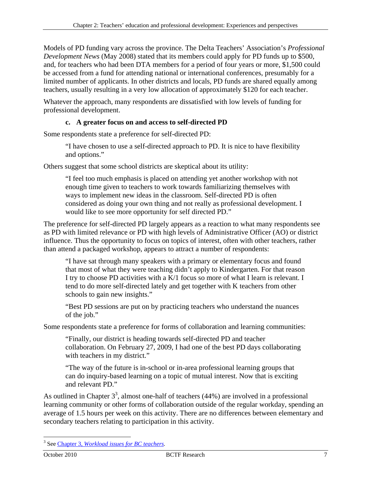Models of PD funding vary across the province. The Delta Teachers' Association's *Professional Development News* (May 2008) stated that its members could apply for PD funds up to \$500, and, for teachers who had been DTA members for a period of four years or more, \$1,500 could be accessed from a fund for attending national or international conferences, presumably for a limited number of applicants. In other districts and locals, PD funds are shared equally among teachers, usually resulting in a very low allocation of approximately \$120 for each teacher.

Whatever the approach, many respondents are dissatisfied with low levels of funding for professional development.

#### **c. A greater focus on and access to self-directed PD**

Some respondents state a preference for self-directed PD:

"I have chosen to use a self-directed approach to PD. It is nice to have flexibility and options."

Others suggest that some school districts are skeptical about its utility:

"I feel too much emphasis is placed on attending yet another workshop with not enough time given to teachers to work towards familiarizing themselves with ways to implement new ideas in the classroom. Self-directed PD is often considered as doing your own thing and not really as professional development. I would like to see more opportunity for self directed PD."

The preference for self-directed PD largely appears as a reaction to what many respondents see as PD with limited relevance or PD with high levels of Administrative Officer (AO) or district influence. Thus the opportunity to focus on topics of interest, often with other teachers, rather than attend a packaged workshop, appears to attract a number of respondents:

"I have sat through many speakers with a primary or elementary focus and found that most of what they were teaching didn't apply to Kindergarten. For that reason I try to choose PD activities with a K/1 focus so more of what I learn is relevant. I tend to do more self-directed lately and get together with K teachers from other schools to gain new insights."

"Best PD sessions are put on by practicing teachers who understand the nuances of the job."

Some respondents state a preference for forms of collaboration and learning communities:

"Finally, our district is heading towards self-directed PD and teacher collaboration. On February 27, 2009, I had one of the best PD days collaborating with teachers in my district."

"The way of the future is in-school or in-area professional learning groups that can do inquiry-based learning on a topic of mutual interest. Now that is exciting and relevant PD."

As outlined in Chapter  $3^3$ , almost one-half of teachers (44%) are involved in a professional learning community or other forms of collaboration outside of the regular workday, spending an average of 1.5 hours per week on this activity. There are no differences between elementary and secondary teachers relating to participation in this activity.

<u>.</u>

<sup>3</sup> See Chapter 3, *[Workload issues for BC teachers.](http://www.bctf.ca/uploadedFiles/Public/Issues/WorklifeWorkload/2009/Chapter3.pdf)*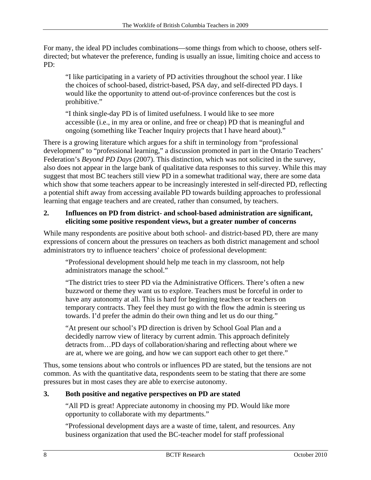For many, the ideal PD includes combinations—some things from which to choose, others selfdirected; but whatever the preference, funding is usually an issue, limiting choice and access to PD:

"I like participating in a variety of PD activities throughout the school year. I like the choices of school-based, district-based, PSA day, and self-directed PD days. I would like the opportunity to attend out-of-province conferences but the cost is prohibitive."

"I think single-day PD is of limited usefulness. I would like to see more accessible (i.e., in my area or online, and free or cheap) PD that is meaningful and ongoing (something like Teacher Inquiry projects that I have heard about)."

There is a growing literature which argues for a shift in terminology from "professional development" to "professional learning," a discussion promoted in part in the Ontario Teachers' Federation's *Beyond PD Days* (2007). This distinction, which was not solicited in the survey, also does not appear in the large bank of qualitative data responses to this survey. While this may suggest that most BC teachers still view PD in a somewhat traditional way, there are some data which show that some teachers appear to be increasingly interested in self-directed PD, reflecting a potential shift away from accessing available PD towards building approaches to professional learning that engage teachers and are created, rather than consumed, by teachers.

#### **2. Influences on PD from district- and school-based administration are significant, eliciting some positive respondent views, but a greater number of concerns**

While many respondents are positive about both school- and district-based PD, there are many expressions of concern about the pressures on teachers as both district management and school administrators try to influence teachers' choice of professional development:

"Professional development should help me teach in my classroom, not help administrators manage the school."

"The district tries to steer PD via the Administrative Officers. There's often a new buzzword or theme they want us to explore. Teachers must be forceful in order to have any autonomy at all. This is hard for beginning teachers or teachers on temporary contracts. They feel they must go with the flow the admin is steering us towards. I'd prefer the admin do their own thing and let us do our thing."

"At present our school's PD direction is driven by School Goal Plan and a decidedly narrow view of literacy by current admin. This approach definitely detracts from…PD days of collaboration/sharing and reflecting about where we are at, where we are going, and how we can support each other to get there."

Thus, some tensions about who controls or influences PD are stated, but the tensions are not common. As with the quantitative data, respondents seem to be stating that there are some pressures but in most cases they are able to exercise autonomy.

#### **3. Both positive and negative perspectives on PD are stated**

"All PD is great! Appreciate autonomy in choosing my PD. Would like more opportunity to collaborate with my departments."

"Professional development days are a waste of time, talent, and resources. Any business organization that used the BC-teacher model for staff professional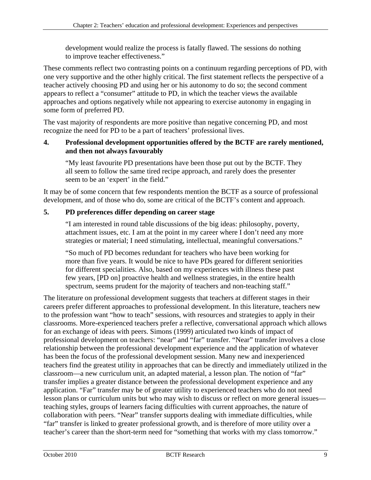development would realize the process is fatally flawed. The sessions do nothing to improve teacher effectiveness."

These comments reflect two contrasting points on a continuum regarding perceptions of PD, with one very supportive and the other highly critical. The first statement reflects the perspective of a teacher actively choosing PD and using her or his autonomy to do so; the second comment appears to reflect a "consumer" attitude to PD, in which the teacher views the available approaches and options negatively while not appearing to exercise autonomy in engaging in some form of preferred PD.

The vast majority of respondents are more positive than negative concerning PD, and most recognize the need for PD to be a part of teachers' professional lives.

#### **4. Professional development opportunities offered by the BCTF are rarely mentioned, and then not always favourably**

"My least favourite PD presentations have been those put out by the BCTF. They all seem to follow the same tired recipe approach, and rarely does the presenter seem to be an 'expert' in the field."

It may be of some concern that few respondents mention the BCTF as a source of professional development, and of those who do, some are critical of the BCTF's content and approach.

#### **5. PD preferences differ depending on career stage**

"I am interested in round table discussions of the big ideas: philosophy, poverty, attachment issues, etc. I am at the point in my career where I don't need any more strategies or material; I need stimulating, intellectual, meaningful conversations."

"So much of PD becomes redundant for teachers who have been working for more than five years. It would be nice to have PDs geared for different seniorities for different specialities. Also, based on my experiences with illness these past few years, [PD on] proactive health and wellness strategies, in the entire health spectrum, seems prudent for the majority of teachers and non-teaching staff."

The literature on professional development suggests that teachers at different stages in their careers prefer different approaches to professional development. In this literature, teachers new to the profession want "how to teach" sessions, with resources and strategies to apply in their classrooms. More-experienced teachers prefer a reflective, conversational approach which allows for an exchange of ideas with peers. Simons (1999) articulated two kinds of impact of professional development on teachers: "near" and "far" transfer. "Near" transfer involves a close relationship between the professional development experience and the application of whatever has been the focus of the professional development session. Many new and inexperienced teachers find the greatest utility in approaches that can be directly and immediately utilized in the classroom—a new curriculum unit, an adapted material, a lesson plan. The notion of "far" transfer implies a greater distance between the professional development experience and any application. "Far" transfer may be of greater utility to experienced teachers who do not need lesson plans or curriculum units but who may wish to discuss or reflect on more general issues teaching styles, groups of learners facing difficulties with current approaches, the nature of collaboration with peers. "Near" transfer supports dealing with immediate difficulties, while "far" transfer is linked to greater professional growth, and is therefore of more utility over a teacher's career than the short-term need for "something that works with my class tomorrow."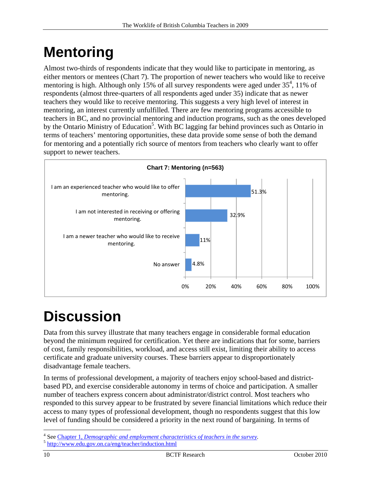# **Mentoring**

Almost two-thirds of respondents indicate that they would like to participate in mentoring, as either mentors or mentees (Chart 7). The proportion of newer teachers who would like to receive mentoring is high. Although only 15% of all survey respondents were aged under  $35^4$ , 11% of respondents (almost three-quarters of all respondents aged under 35) indicate that as newer teachers they would like to receive mentoring. This suggests a very high level of interest in mentoring, an interest currently unfulfilled. There are few mentoring programs accessible to teachers in BC, and no provincial mentoring and induction programs, such as the ones developed by the Ontario Ministry of Education<sup>5</sup>. With BC lagging far behind provinces such as Ontario in terms of teachers' mentoring opportunities, these data provide some sense of both the demand for mentoring and a potentially rich source of mentors from teachers who clearly want to offer support to newer teachers.



# **Discussion**

Data from this survey illustrate that many teachers engage in considerable formal education beyond the minimum required for certification. Yet there are indications that for some, barriers of cost, family responsibilities, workload, and access still exist, limiting their ability to access certificate and graduate university courses. These barriers appear to disproportionately disadvantage female teachers.

In terms of professional development, a majority of teachers enjoy school-based and districtbased PD, and exercise considerable autonomy in terms of choice and participation. A smaller number of teachers express concern about administrator/district control. Most teachers who responded to this survey appear to be frustrated by severe financial limitations which reduce their access to many types of professional development, though no respondents suggest that this low level of funding should be considered a priority in the next round of bargaining. In terms of

 $\overline{a}$ 

<sup>&</sup>lt;sup>4</sup> See <u>Chapter 1, *Demographic and employment characteristics of teachers in the survey*.<br><sup>5</sup> http://www.edu.gov.on.ca/eng/teacher/induction.html</u>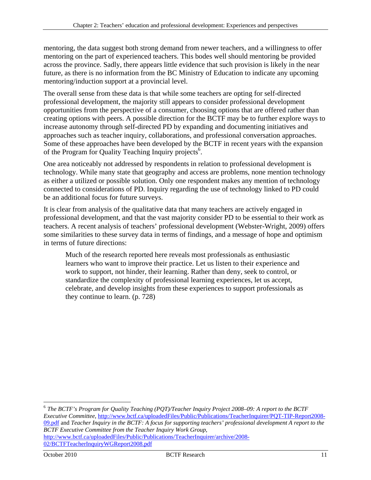mentoring, the data suggest both strong demand from newer teachers, and a willingness to offer mentoring on the part of experienced teachers. This bodes well should mentoring be provided across the province. Sadly, there appears little evidence that such provision is likely in the near future, as there is no information from the BC Ministry of Education to indicate any upcoming mentoring/induction support at a provincial level.

The overall sense from these data is that while some teachers are opting for self-directed professional development, the majority still appears to consider professional development opportunities from the perspective of a consumer, choosing options that are offered rather than creating options with peers. A possible direction for the BCTF may be to further explore ways to increase autonomy through self-directed PD by expanding and documenting initiatives and approaches such as teacher inquiry, collaborations, and professional conversation approaches. Some of these approaches have been developed by the BCTF in recent years with the expansion of the Program for Quality Teaching Inquiry projects<sup>6</sup>.

One area noticeably not addressed by respondents in relation to professional development is technology. While many state that geography and access are problems, none mention technology as either a utilized or possible solution. Only one respondent makes any mention of technology connected to considerations of PD. Inquiry regarding the use of technology linked to PD could be an additional focus for future surveys.

It is clear from analysis of the qualitative data that many teachers are actively engaged in professional development, and that the vast majority consider PD to be essential to their work as teachers. A recent analysis of teachers' professional development (Webster-Wright, 2009) offers some similarities to these survey data in terms of findings, and a message of hope and optimism in terms of future directions:

Much of the research reported here reveals most professionals as enthusiastic learners who want to improve their practice. Let us listen to their experience and work to support, not hinder, their learning. Rather than deny, seek to control, or standardize the complexity of professional learning experiences, let us accept, celebrate, and develop insights from these experiences to support professionals as they continue to learn. (p. 728)

 $\overline{a}$ 

<sup>6</sup> *The BCTF's Program for Quality Teaching (PQT)/Teacher Inquiry Project 2008–09: A report to the BCTF Executive Committee*, http://www.bctf.ca/uploadedFiles/Public/Publications/TeacherInquirer/PQT-TIP-Report2008- 09.pdf and *Teacher Inquiry in the BCTF: A focus for supporting teachers' professional development A report to the BCTF Executive Committee from the Teacher Inquiry Work Group*, http://www.bctf.ca/uploadedFiles/Public/Publications/TeacherInquirer/archive/2008- 02/BCTFTeacherInquiryWGReport2008.pdf